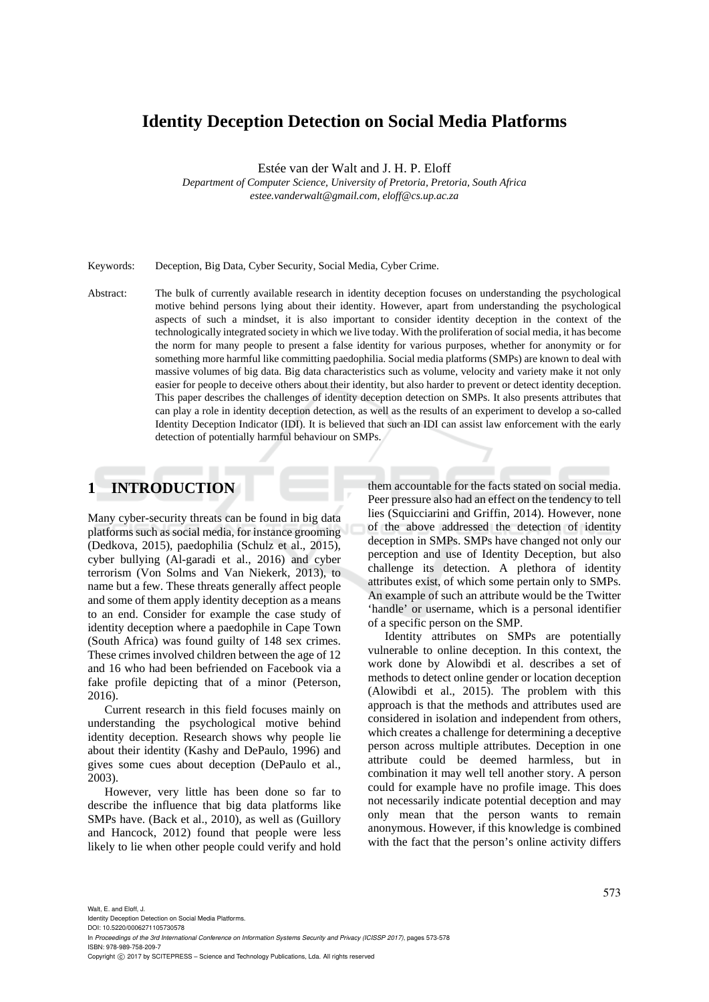# **Identity Deception Detection on Social Media Platforms**

Estée van der Walt and J. H. P. Eloff

*Department of Computer Science, University of Pretoria, Pretoria, South Africa estee.vanderwalt@gmail.com, eloff@cs.up.ac.za* 

Keywords: Deception, Big Data, Cyber Security, Social Media, Cyber Crime.

Abstract: The bulk of currently available research in identity deception focuses on understanding the psychological motive behind persons lying about their identity. However, apart from understanding the psychological aspects of such a mindset, it is also important to consider identity deception in the context of the technologically integrated society in which we live today. With the proliferation of social media, it has become the norm for many people to present a false identity for various purposes, whether for anonymity or for something more harmful like committing paedophilia. Social media platforms (SMPs) are known to deal with massive volumes of big data. Big data characteristics such as volume, velocity and variety make it not only easier for people to deceive others about their identity, but also harder to prevent or detect identity deception. This paper describes the challenges of identity deception detection on SMPs. It also presents attributes that can play a role in identity deception detection, as well as the results of an experiment to develop a so-called Identity Deception Indicator (IDI). It is believed that such an IDI can assist law enforcement with the early detection of potentially harmful behaviour on SMPs.

# **1 INTRODUCTION**

Many cyber-security threats can be found in big data platforms such as social media, for instance grooming (Dedkova, 2015), paedophilia (Schulz et al., 2015), cyber bullying (Al-garadi et al., 2016) and cyber terrorism (Von Solms and Van Niekerk, 2013), to name but a few. These threats generally affect people and some of them apply identity deception as a means to an end. Consider for example the case study of identity deception where a paedophile in Cape Town (South Africa) was found guilty of 148 sex crimes. These crimes involved children between the age of 12 and 16 who had been befriended on Facebook via a fake profile depicting that of a minor (Peterson, 2016).

Current research in this field focuses mainly on understanding the psychological motive behind identity deception. Research shows why people lie about their identity (Kashy and DePaulo, 1996) and gives some cues about deception (DePaulo et al., 2003).

However, very little has been done so far to describe the influence that big data platforms like SMPs have. (Back et al., 2010), as well as (Guillory and Hancock, 2012) found that people were less likely to lie when other people could verify and hold

them accountable for the facts stated on social media. Peer pressure also had an effect on the tendency to tell lies (Squicciarini and Griffin, 2014). However, none of the above addressed the detection of identity deception in SMPs. SMPs have changed not only our perception and use of Identity Deception, but also challenge its detection. A plethora of identity attributes exist, of which some pertain only to SMPs. An example of such an attribute would be the Twitter 'handle' or username, which is a personal identifier of a specific person on the SMP.

Identity attributes on SMPs are potentially vulnerable to online deception. In this context, the work done by Alowibdi et al. describes a set of methods to detect online gender or location deception (Alowibdi et al., 2015). The problem with this approach is that the methods and attributes used are considered in isolation and independent from others, which creates a challenge for determining a deceptive person across multiple attributes. Deception in one attribute could be deemed harmless, but in combination it may well tell another story. A person could for example have no profile image. This does not necessarily indicate potential deception and may only mean that the person wants to remain anonymous. However, if this knowledge is combined with the fact that the person's online activity differs

DOI: 10.5220/0006271105730578 In *Proceedings of the 3rd International Conference on Information Systems Security and Privacy (ICISSP 2017)*, pages 573-578 ISBN: 978-989-758-209-7

Copyright (C) 2017 by SCITEPRESS - Science and Technology Publications, Lda. All rights reserved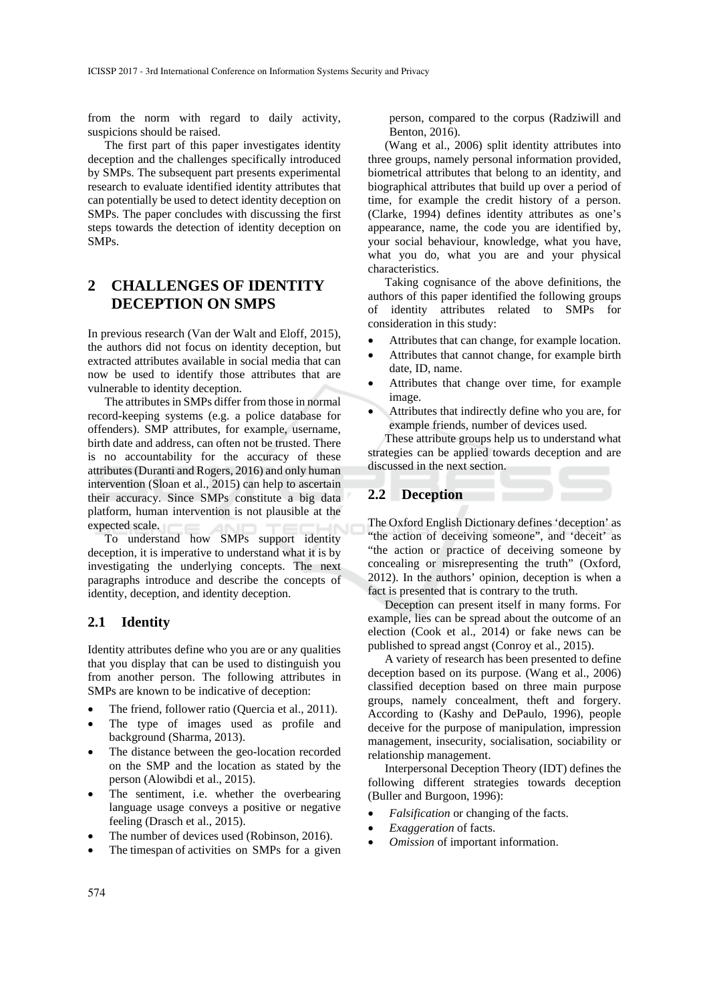from the norm with regard to daily activity, suspicions should be raised.

The first part of this paper investigates identity deception and the challenges specifically introduced by SMPs. The subsequent part presents experimental research to evaluate identified identity attributes that can potentially be used to detect identity deception on SMPs. The paper concludes with discussing the first steps towards the detection of identity deception on SMPs.

# **2 CHALLENGES OF IDENTITY DECEPTION ON SMPS**

In previous research (Van der Walt and Eloff, 2015), the authors did not focus on identity deception, but extracted attributes available in social media that can now be used to identify those attributes that are vulnerable to identity deception.

The attributes in SMPs differ from those in normal record-keeping systems (e.g. a police database for offenders). SMP attributes, for example, username, birth date and address, can often not be trusted. There is no accountability for the accuracy of these attributes (Duranti and Rogers, 2016) and only human intervention (Sloan et al., 2015) can help to ascertain their accuracy. Since SMPs constitute a big data platform, human intervention is not plausible at the expected scale.

To understand how SMPs support identity deception, it is imperative to understand what it is by investigating the underlying concepts. The next paragraphs introduce and describe the concepts of identity, deception, and identity deception.

### **2.1 Identity**

Identity attributes define who you are or any qualities that you display that can be used to distinguish you from another person. The following attributes in SMPs are known to be indicative of deception:

- The friend, follower ratio (Quercia et al., 2011).
- The type of images used as profile and background (Sharma, 2013).
- The distance between the geo-location recorded on the SMP and the location as stated by the person (Alowibdi et al., 2015).
- The sentiment, i.e. whether the overbearing language usage conveys a positive or negative feeling (Drasch et al., 2015).
- The number of devices used (Robinson, 2016).
- The timespan of activities on SMPs for a given

person, compared to the corpus (Radziwill and Benton, 2016).

(Wang et al., 2006) split identity attributes into three groups, namely personal information provided, biometrical attributes that belong to an identity, and biographical attributes that build up over a period of time, for example the credit history of a person. (Clarke, 1994) defines identity attributes as one's appearance, name, the code you are identified by, your social behaviour, knowledge, what you have, what you do, what you are and your physical characteristics.

Taking cognisance of the above definitions, the authors of this paper identified the following groups of identity attributes related to SMPs for consideration in this study:

- Attributes that can change, for example location.
- Attributes that cannot change, for example birth date, ID, name.
- Attributes that change over time, for example image.
- Attributes that indirectly define who you are, for example friends, number of devices used.

These attribute groups help us to understand what strategies can be applied towards deception and are discussed in the next section.

### **2.2 Deception**

The Oxford English Dictionary defines 'deception' as "the action of deceiving someone", and 'deceit' as "the action or practice of deceiving someone by concealing or misrepresenting the truth" (Oxford, 2012). In the authors' opinion, deception is when a fact is presented that is contrary to the truth.

Deception can present itself in many forms. For example, lies can be spread about the outcome of an election (Cook et al., 2014) or fake news can be published to spread angst (Conroy et al., 2015).

A variety of research has been presented to define deception based on its purpose. (Wang et al., 2006) classified deception based on three main purpose groups, namely concealment, theft and forgery. According to (Kashy and DePaulo, 1996), people deceive for the purpose of manipulation, impression management, insecurity, socialisation, sociability or relationship management.

Interpersonal Deception Theory (IDT) defines the following different strategies towards deception (Buller and Burgoon, 1996):

- *Falsification* or changing of the facts.
- *Exaggeration* of facts.
- *Omission* of important information.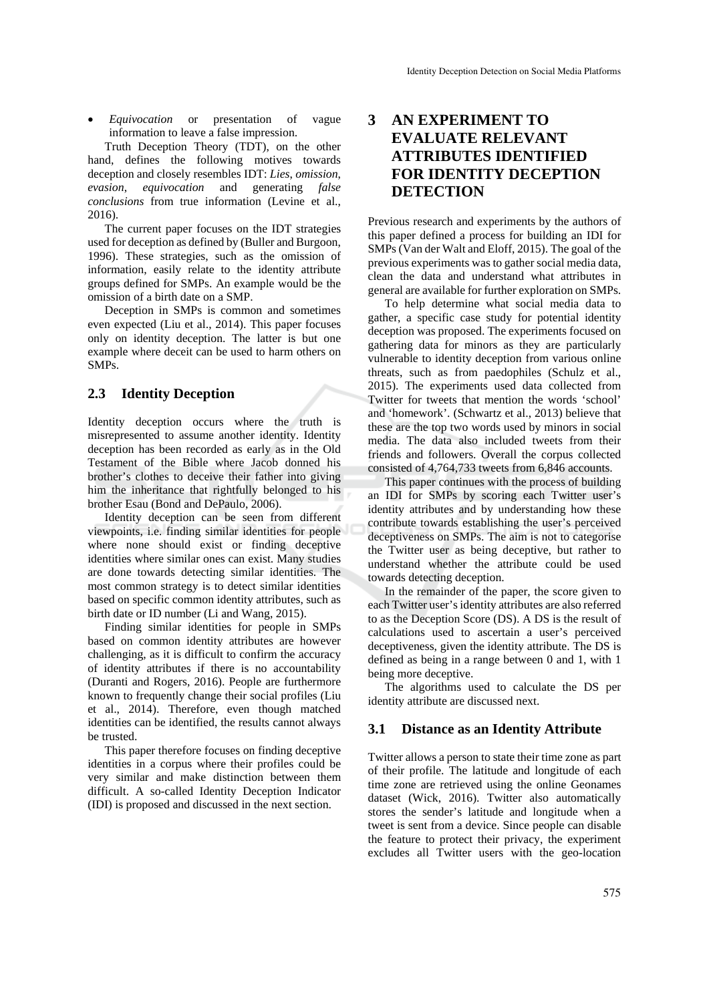*Equivocation* or presentation of vague information to leave a false impression.

Truth Deception Theory (TDT), on the other hand, defines the following motives towards deception and closely resembles IDT: *Lies*, *omission*, *evasion*, *equivocation* and generating *false conclusions* from true information (Levine et al., 2016).

The current paper focuses on the IDT strategies used for deception as defined by (Buller and Burgoon, 1996). These strategies, such as the omission of information, easily relate to the identity attribute groups defined for SMPs. An example would be the omission of a birth date on a SMP.

Deception in SMPs is common and sometimes even expected (Liu et al., 2014). This paper focuses only on identity deception. The latter is but one example where deceit can be used to harm others on SMPs.

### **2.3 Identity Deception**

Identity deception occurs where the truth is misrepresented to assume another identity. Identity deception has been recorded as early as in the Old Testament of the Bible where Jacob donned his brother's clothes to deceive their father into giving him the inheritance that rightfully belonged to his brother Esau (Bond and DePaulo, 2006).

Identity deception can be seen from different viewpoints, i.e. finding similar identities for people where none should exist or finding deceptive identities where similar ones can exist. Many studies are done towards detecting similar identities. The most common strategy is to detect similar identities based on specific common identity attributes, such as birth date or ID number (Li and Wang, 2015).

Finding similar identities for people in SMPs based on common identity attributes are however challenging, as it is difficult to confirm the accuracy of identity attributes if there is no accountability (Duranti and Rogers, 2016). People are furthermore known to frequently change their social profiles (Liu et al., 2014). Therefore, even though matched identities can be identified, the results cannot always be trusted.

This paper therefore focuses on finding deceptive identities in a corpus where their profiles could be very similar and make distinction between them difficult. A so-called Identity Deception Indicator (IDI) is proposed and discussed in the next section.

# **3 AN EXPERIMENT TO EVALUATE RELEVANT ATTRIBUTES IDENTIFIED FOR IDENTITY DECEPTION DETECTION**

Previous research and experiments by the authors of this paper defined a process for building an IDI for SMPs (Van der Walt and Eloff, 2015). The goal of the previous experiments was to gather social media data, clean the data and understand what attributes in general are available for further exploration on SMPs.

To help determine what social media data to gather, a specific case study for potential identity deception was proposed. The experiments focused on gathering data for minors as they are particularly vulnerable to identity deception from various online threats, such as from paedophiles (Schulz et al., 2015). The experiments used data collected from Twitter for tweets that mention the words 'school' and 'homework'. (Schwartz et al., 2013) believe that these are the top two words used by minors in social media. The data also included tweets from their friends and followers. Overall the corpus collected consisted of 4,764,733 tweets from 6,846 accounts.

This paper continues with the process of building an IDI for SMPs by scoring each Twitter user's identity attributes and by understanding how these contribute towards establishing the user's perceived deceptiveness on SMPs. The aim is not to categorise the Twitter user as being deceptive, but rather to understand whether the attribute could be used towards detecting deception.

In the remainder of the paper, the score given to each Twitter user's identity attributes are also referred to as the Deception Score (DS). A DS is the result of calculations used to ascertain a user's perceived deceptiveness, given the identity attribute. The DS is defined as being in a range between 0 and 1, with 1 being more deceptive.

The algorithms used to calculate the DS per identity attribute are discussed next.

### **3.1 Distance as an Identity Attribute**

Twitter allows a person to state their time zone as part of their profile. The latitude and longitude of each time zone are retrieved using the online Geonames dataset (Wick, 2016). Twitter also automatically stores the sender's latitude and longitude when a tweet is sent from a device. Since people can disable the feature to protect their privacy, the experiment excludes all Twitter users with the geo-location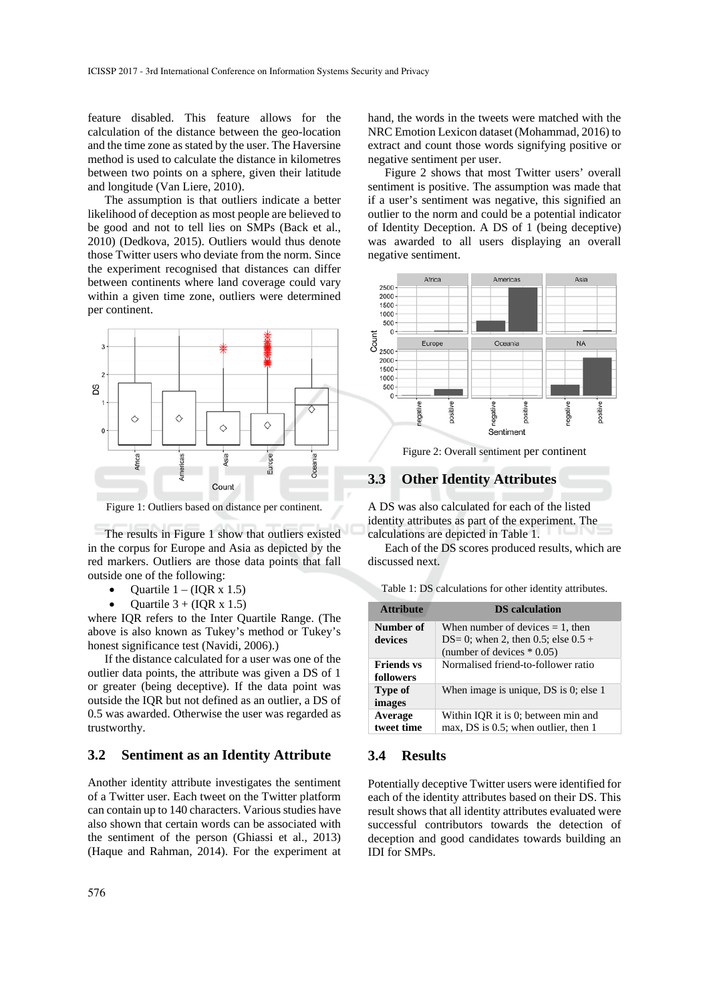feature disabled. This feature allows for the calculation of the distance between the geo-location and the time zone as stated by the user. The Haversine method is used to calculate the distance in kilometres between two points on a sphere, given their latitude and longitude (Van Liere, 2010).

The assumption is that outliers indicate a better likelihood of deception as most people are believed to be good and not to tell lies on SMPs (Back et al., 2010) (Dedkova, 2015). Outliers would thus denote those Twitter users who deviate from the norm. Since the experiment recognised that distances can differ between continents where land coverage could vary within a given time zone, outliers were determined per continent.



Figure 1: Outliers based on distance per continent.

The results in Figure 1 show that outliers existed in the corpus for Europe and Asia as depicted by the red markers. Outliers are those data points that fall outside one of the following:

- Quartile  $1 (IQR \times 1.5)$
- Quartile  $3 + (IQR \times 1.5)$

where IQR refers to the Inter Quartile Range. (The above is also known as Tukey's method or Tukey's honest significance test (Navidi, 2006).)

If the distance calculated for a user was one of the outlier data points, the attribute was given a DS of 1 or greater (being deceptive). If the data point was outside the IQR but not defined as an outlier, a DS of 0.5 was awarded. Otherwise the user was regarded as trustworthy.

#### **3.2 Sentiment as an Identity Attribute**

Another identity attribute investigates the sentiment of a Twitter user. Each tweet on the Twitter platform can contain up to 140 characters. Various studies have also shown that certain words can be associated with the sentiment of the person (Ghiassi et al., 2013) (Haque and Rahman, 2014). For the experiment at hand, the words in the tweets were matched with the NRC Emotion Lexicon dataset (Mohammad, 2016) to extract and count those words signifying positive or negative sentiment per user.

Figure 2 shows that most Twitter users' overall sentiment is positive. The assumption was made that if a user's sentiment was negative, this signified an outlier to the norm and could be a potential indicator of Identity Deception. A DS of 1 (being deceptive) was awarded to all users displaying an overall negative sentiment.



Figure 2: Overall sentiment per continent

### **3.3 Other Identity Attributes**

A DS was also calculated for each of the listed identity attributes as part of the experiment. The calculations are depicted in Table 1.

Each of the DS scores produced results, which are discussed next.

Table 1: DS calculations for other identity attributes.

| <b>Attribute</b>               | <b>DS</b> calculation                                                        |
|--------------------------------|------------------------------------------------------------------------------|
| Number of<br>devices           | When number of devices $= 1$ , then<br>DS= 0; when 2, then 0.5; else $0.5 +$ |
|                                | (number of devices $*$ 0.05)                                                 |
| <b>Friends vs</b><br>followers | Normalised friend-to-follower ratio                                          |
| Type of<br>images              | When image is unique, DS is 0; else 1                                        |
| Average<br>tweet time          | Within IQR it is 0; between min and<br>max, DS is 0.5; when outlier, then 1  |

#### **3.4 Results**

Potentially deceptive Twitter users were identified for each of the identity attributes based on their DS. This result shows that all identity attributes evaluated were successful contributors towards the detection of deception and good candidates towards building an IDI for SMPs.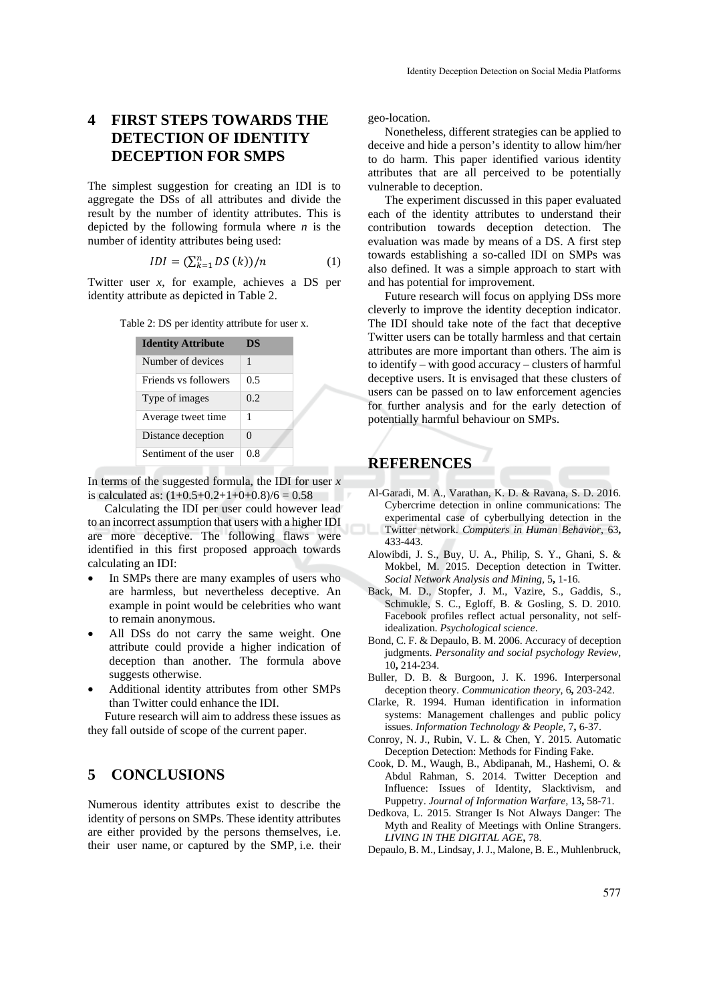# **4 FIRST STEPS TOWARDS THE DETECTION OF IDENTITY DECEPTION FOR SMPS**

The simplest suggestion for creating an IDI is to aggregate the DSs of all attributes and divide the result by the number of identity attributes. This is depicted by the following formula where *n* is the number of identity attributes being used:

$$
IDI = (\sum_{k=1}^{n} DS(k))/n
$$
 (1)

Twitter user *x*, for example, achieves a DS per identity attribute as depicted in Table 2.

| Table 2: DS per identity attribute for user x. |  |  |  |
|------------------------------------------------|--|--|--|
|------------------------------------------------|--|--|--|

| <b>Identity Attribute</b> | DS       |
|---------------------------|----------|
| Number of devices         | 1        |
| Friends vs followers      | 0.5      |
| Type of images            | 0.2      |
| Average tweet time        | 1        |
| Distance deception        | $\Omega$ |
| Sentiment of the user     | 0.8      |

In terms of the suggested formula, the IDI for user *x* is calculated as:  $(1+0.5+0.2+1+0+0.8)/6 = 0.58$ 

Calculating the IDI per user could however lead to an incorrect assumption that users with a higher IDI are more deceptive. The following flaws were identified in this first proposed approach towards calculating an IDI:

- In SMPs there are many examples of users who are harmless, but nevertheless deceptive. An example in point would be celebrities who want to remain anonymous.
- All DSs do not carry the same weight. One attribute could provide a higher indication of deception than another. The formula above suggests otherwise.
- Additional identity attributes from other SMPs than Twitter could enhance the IDI.

Future research will aim to address these issues as they fall outside of scope of the current paper.

# **5 CONCLUSIONS**

Numerous identity attributes exist to describe the identity of persons on SMPs. These identity attributes are either provided by the persons themselves, i.e. their user name, or captured by the SMP, i.e. their

geo-location.

Nonetheless, different strategies can be applied to deceive and hide a person's identity to allow him/her to do harm. This paper identified various identity attributes that are all perceived to be potentially vulnerable to deception.

The experiment discussed in this paper evaluated each of the identity attributes to understand their contribution towards deception detection. The evaluation was made by means of a DS. A first step towards establishing a so-called IDI on SMPs was also defined. It was a simple approach to start with and has potential for improvement.

Future research will focus on applying DSs more cleverly to improve the identity deception indicator. The IDI should take note of the fact that deceptive Twitter users can be totally harmless and that certain attributes are more important than others. The aim is to identify – with good accuracy – clusters of harmful deceptive users. It is envisaged that these clusters of users can be passed on to law enforcement agencies for further analysis and for the early detection of potentially harmful behaviour on SMPs.

### **REFERENCES**

- Al-Garadi, M. A., Varathan, K. D. & Ravana, S. D. 2016. Cybercrime detection in online communications: The experimental case of cyberbullying detection in the Twitter network. *Computers in Human Behavior,* 63**,** 433-443.
- Alowibdi, J. S., Buy, U. A., Philip, S. Y., Ghani, S. & Mokbel, M. 2015. Deception detection in Twitter. *Social Network Analysis and Mining,* 5**,** 1-16.
- Back, M. D., Stopfer, J. M., Vazire, S., Gaddis, S., Schmukle, S. C., Egloff, B. & Gosling, S. D. 2010. Facebook profiles reflect actual personality, not selfidealization. *Psychological science*.
- Bond, C. F. & Depaulo, B. M. 2006. Accuracy of deception judgments. *Personality and social psychology Review,* 10**,** 214-234.
- Buller, D. B. & Burgoon, J. K. 1996. Interpersonal deception theory. *Communication theory,* 6**,** 203-242.
- Clarke, R. 1994. Human identification in information systems: Management challenges and public policy issues. *Information Technology & People,* 7**,** 6-37.
- Conroy, N. J., Rubin, V. L. & Chen, Y. 2015. Automatic Deception Detection: Methods for Finding Fake.
- Cook, D. M., Waugh, B., Abdipanah, M., Hashemi, O. & Abdul Rahman, S. 2014. Twitter Deception and Influence: Issues of Identity, Slacktivism, and Puppetry. *Journal of Information Warfare,* 13**,** 58-71.
- Dedkova, L. 2015. Stranger Is Not Always Danger: The Myth and Reality of Meetings with Online Strangers. *LIVING IN THE DIGITAL AGE***,** 78.
- Depaulo, B. M., Lindsay, J. J., Malone, B. E., Muhlenbruck,